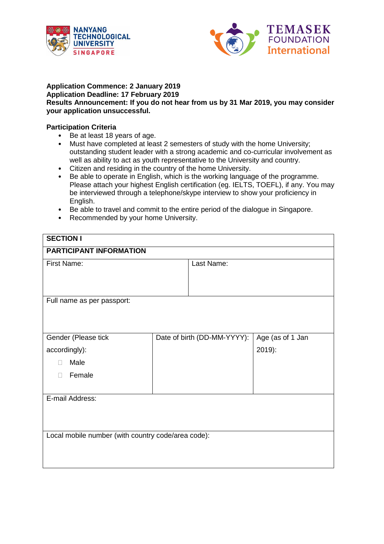



# **Application Commence: 2 January 2019**

## **Application Deadline: 17 February 2019**

**Results Announcement: If you do not hear from us by 31 Mar 2019, you may consider your application unsuccessful.**

#### **Participation Criteria**

- Be at least 18 years of age.
- Must have completed at least 2 semesters of study with the home University; outstanding student leader with a strong academic and co-curricular involvement as well as ability to act as youth representative to the University and country.
- Citizen and residing in the country of the home University.<br>• Be able to operate in English, which is the working language
- Be able to operate in English, which is the working language of the programme. Please attach your highest English certification (eg. IELTS, TOEFL), if any. You may be interviewed through a telephone/skype interview to show your proficiency in English.
- Be able to travel and commit to the entire period of the dialogue in Singapore.
- Recommended by your home University.

| <b>SECTION I</b>                                   |                             |                  |  |
|----------------------------------------------------|-----------------------------|------------------|--|
| <b>PARTICIPANT INFORMATION</b>                     |                             |                  |  |
| First Name:                                        | Last Name:                  |                  |  |
|                                                    |                             |                  |  |
|                                                    |                             |                  |  |
| Full name as per passport:                         |                             |                  |  |
|                                                    |                             |                  |  |
|                                                    |                             |                  |  |
| Gender (Please tick                                | Date of birth (DD-MM-YYYY): | Age (as of 1 Jan |  |
| accordingly):                                      |                             | $2019$ :         |  |
| Male<br>$\mathbf{L}$                               |                             |                  |  |
| Female<br>ш                                        |                             |                  |  |
|                                                    |                             |                  |  |
| E-mail Address:                                    |                             |                  |  |
|                                                    |                             |                  |  |
|                                                    |                             |                  |  |
| Local mobile number (with country code/area code): |                             |                  |  |
|                                                    |                             |                  |  |
|                                                    |                             |                  |  |
|                                                    |                             |                  |  |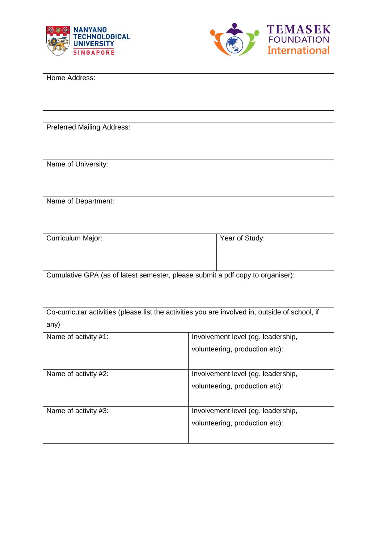



| <b>Preferred Mailing Address:</b>                                                               |                                    |                                |
|-------------------------------------------------------------------------------------------------|------------------------------------|--------------------------------|
|                                                                                                 |                                    |                                |
|                                                                                                 |                                    |                                |
| Name of University:                                                                             |                                    |                                |
|                                                                                                 |                                    |                                |
| Name of Department:                                                                             |                                    |                                |
|                                                                                                 |                                    |                                |
|                                                                                                 |                                    |                                |
| Curriculum Major:                                                                               |                                    |                                |
|                                                                                                 |                                    |                                |
|                                                                                                 |                                    |                                |
| Cumulative GPA (as of latest semester, please submit a pdf copy to organiser):                  |                                    |                                |
|                                                                                                 |                                    |                                |
| Co-curricular activities (please list the activities you are involved in, outside of school, if |                                    |                                |
| any)                                                                                            |                                    |                                |
| Name of activity #1:                                                                            | Involvement level (eg. leadership, |                                |
|                                                                                                 | volunteering, production etc):     |                                |
|                                                                                                 |                                    |                                |
| Name of activity #2:                                                                            | Involvement level (eg. leadership, |                                |
|                                                                                                 | volunteering, production etc):     |                                |
|                                                                                                 |                                    |                                |
| Name of activity #3:                                                                            | Involvement level (eg. leadership, |                                |
|                                                                                                 |                                    | volunteering, production etc): |
|                                                                                                 |                                    |                                |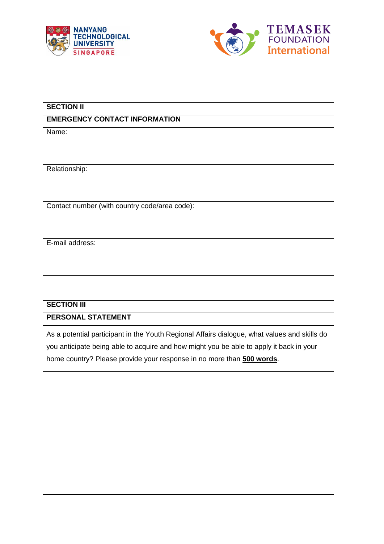



| <b>SECTION II</b>                             |
|-----------------------------------------------|
| <b>EMERGENCY CONTACT INFORMATION</b>          |
| Name:                                         |
|                                               |
|                                               |
| Relationship:                                 |
|                                               |
|                                               |
| Contact number (with country code/area code): |
|                                               |
|                                               |
| E-mail address:                               |
|                                               |
|                                               |
|                                               |

## **SECTION III**

### **PERSONAL STATEMENT**

As a potential participant in the Youth Regional Affairs dialogue, what values and skills do you anticipate being able to acquire and how might you be able to apply it back in your home country? Please provide your response in no more than **500 words**.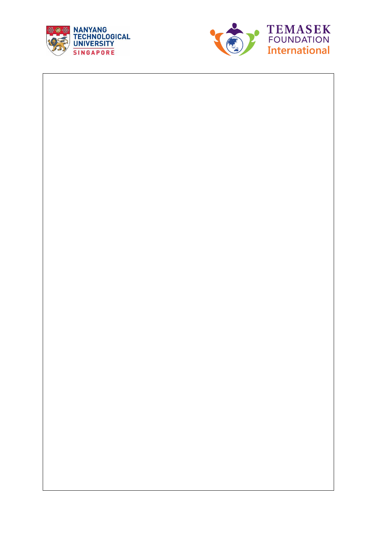

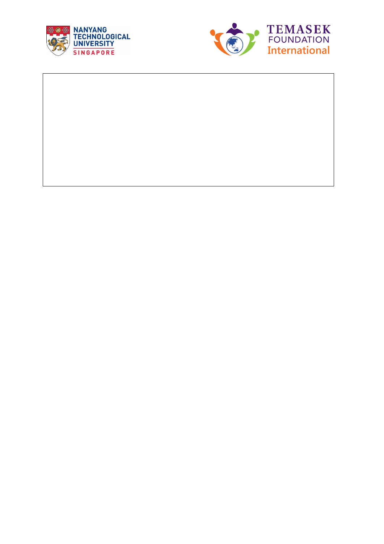